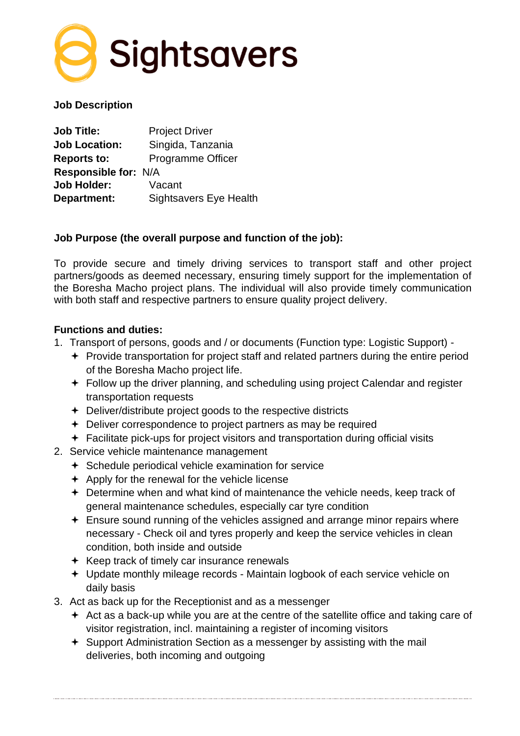

#### **Job Description**

| <b>Job Title:</b>    | <b>Project Driver</b>         |
|----------------------|-------------------------------|
| <b>Job Location:</b> | Singida, Tanzania             |
| <b>Reports to:</b>   | <b>Programme Officer</b>      |
| Responsible for: N/A |                               |
| <b>Job Holder:</b>   | Vacant                        |
| Department:          | <b>Sightsavers Eye Health</b> |

#### **Job Purpose (the overall purpose and function of the job):**

To provide secure and timely driving services to transport staff and other project partners/goods as deemed necessary, ensuring timely support for the implementation of the Boresha Macho project plans. The individual will also provide timely communication with both staff and respective partners to ensure quality project delivery.

#### **Functions and duties:**

- 1. Transport of persons, goods and / or documents (Function type: Logistic Support)
	- + Provide transportation for project staff and related partners during the entire period of the Boresha Macho project life.
	- Follow up the driver planning, and scheduling using project Calendar and register transportation requests
	- Deliver/distribute project goods to the respective districts
	- **←** Deliver correspondence to project partners as may be required
	- Facilitate pick-ups for project visitors and transportation during official visits
- 2. Service vehicle maintenance management
	- $\div$  Schedule periodical vehicle examination for service
	- $\div$  Apply for the renewal for the vehicle license
	- Determine when and what kind of maintenance the vehicle needs, keep track of general maintenance schedules, especially car tyre condition
	- Ensure sound running of the vehicles assigned and arrange minor repairs where necessary - Check oil and tyres properly and keep the service vehicles in clean condition, both inside and outside
	- $\div$  Keep track of timely car insurance renewals
	- Update monthly mileage records Maintain logbook of each service vehicle on daily basis
- 3. Act as back up for the Receptionist and as a messenger
	- Act as a back-up while you are at the centre of the satellite office and taking care of visitor registration, incl. maintaining a register of incoming visitors
	- Support Administration Section as a messenger by assisting with the mail deliveries, both incoming and outgoing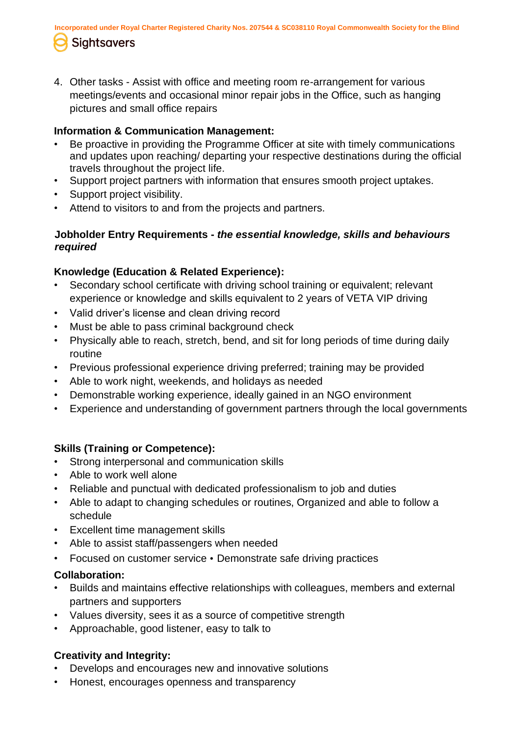**Incorporated under Royal Charter Registered Charity Nos. 207544 & SC038110 Royal Commonwealth Society for the Blind** 

# **Sightsavers**

4. Other tasks - Assist with office and meeting room re-arrangement for various meetings/events and occasional minor repair jobs in the Office, such as hanging pictures and small office repairs

### **Information & Communication Management:**

- Be proactive in providing the Programme Officer at site with timely communications and updates upon reaching/ departing your respective destinations during the official travels throughout the project life.
- Support project partners with information that ensures smooth project uptakes.
- Support project visibility.
- Attend to visitors to and from the projects and partners.

### **Jobholder Entry Requirements -** *the essential knowledge, skills and behaviours required*

## **Knowledge (Education & Related Experience):**

- Secondary school certificate with driving school training or equivalent; relevant experience or knowledge and skills equivalent to 2 years of VETA VIP driving
- Valid driver's license and clean driving record
- Must be able to pass criminal background check
- Physically able to reach, stretch, bend, and sit for long periods of time during daily routine
- Previous professional experience driving preferred; training may be provided
- Able to work night, weekends, and holidays as needed
- Demonstrable working experience, ideally gained in an NGO environment
- Experience and understanding of government partners through the local governments

## **Skills (Training or Competence):**

- Strong interpersonal and communication skills
- Able to work well alone
- Reliable and punctual with dedicated professionalism to job and duties
- Able to adapt to changing schedules or routines, Organized and able to follow a schedule
- Excellent time management skills
- Able to assist staff/passengers when needed
- Focused on customer service Demonstrate safe driving practices

## **Collaboration:**

- Builds and maintains effective relationships with colleagues, members and external partners and supporters
- Values diversity, sees it as a source of competitive strength
- Approachable, good listener, easy to talk to

## **Creativity and Integrity:**

- Develops and encourages new and innovative solutions
- Honest, encourages openness and transparency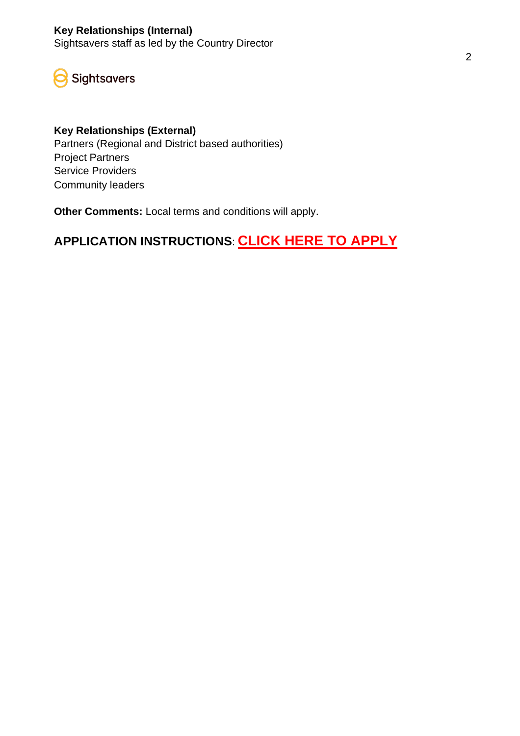## **Key Relationships (Internal)**

Sightsavers staff as led by the Country Director

Sightsavers

#### **Key Relationships (External)**

Partners (Regional and District based authorities) Project Partners Service Providers Community leaders

**Other Comments:** Local terms and conditions will apply.

# **APPLICATION INSTRUCTIONS**: **[CLICK HERE TO APPLY](https://isw.changeworknow.co.uk/sightsavers/vms/e/careers/positions/dpKXJ2ZlfleAzso-OAgwSY)**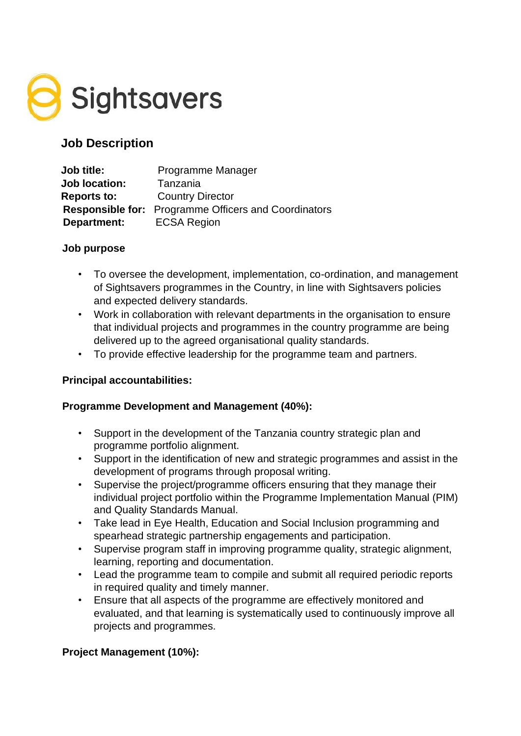

## **Job Description**

| <b>Job title:</b>    | Programme Manager                                           |
|----------------------|-------------------------------------------------------------|
| <b>Job location:</b> | Tanzania                                                    |
| <b>Reports to:</b>   | <b>Country Director</b>                                     |
|                      | <b>Responsible for:</b> Programme Officers and Coordinators |
| Department:          | <b>ECSA Region</b>                                          |

#### **Job purpose**

- To oversee the development, implementation, co-ordination, and management of Sightsavers programmes in the Country, in line with Sightsavers policies and expected delivery standards.
- Work in collaboration with relevant departments in the organisation to ensure that individual projects and programmes in the country programme are being delivered up to the agreed organisational quality standards.
- To provide effective leadership for the programme team and partners.

#### **Principal accountabilities:**

#### **Programme Development and Management (40%):**

- Support in the development of the Tanzania country strategic plan and programme portfolio alignment.
- Support in the identification of new and strategic programmes and assist in the development of programs through proposal writing.
- Supervise the project/programme officers ensuring that they manage their individual project portfolio within the Programme Implementation Manual (PIM) and Quality Standards Manual.
- Take lead in Eye Health, Education and Social Inclusion programming and spearhead strategic partnership engagements and participation.
- Supervise program staff in improving programme quality, strategic alignment, learning, reporting and documentation.
- Lead the programme team to compile and submit all required periodic reports in required quality and timely manner.
- Ensure that all aspects of the programme are effectively monitored and evaluated, and that learning is systematically used to continuously improve all projects and programmes.

#### **Project Management (10%):**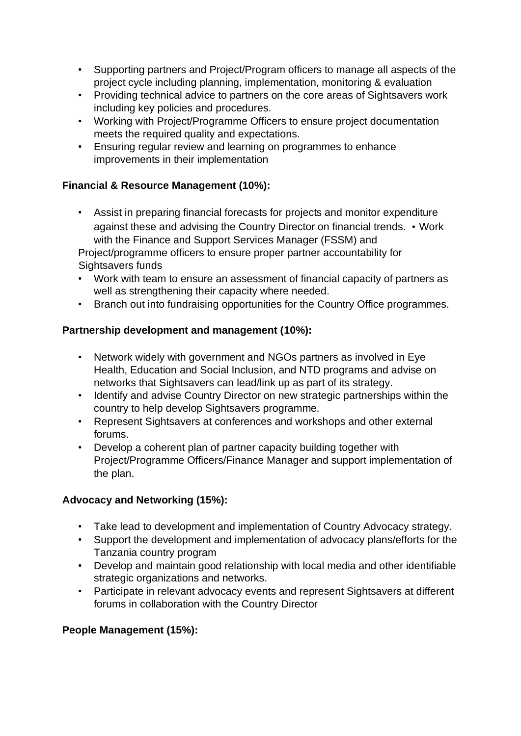- Supporting partners and Project/Program officers to manage all aspects of the project cycle including planning, implementation, monitoring & evaluation
- Providing technical advice to partners on the core areas of Sightsavers work including key policies and procedures.
- Working with Project/Programme Officers to ensure project documentation meets the required quality and expectations.
- Ensuring regular review and learning on programmes to enhance improvements in their implementation

## **Financial & Resource Management (10%):**

• Assist in preparing financial forecasts for projects and monitor expenditure against these and advising the Country Director on financial trends. • Work with the Finance and Support Services Manager (FSSM) and

Project/programme officers to ensure proper partner accountability for Sightsavers funds

- Work with team to ensure an assessment of financial capacity of partners as well as strengthening their capacity where needed.
- Branch out into fundraising opportunities for the Country Office programmes.

## **Partnership development and management (10%):**

- Network widely with government and NGOs partners as involved in Eye Health, Education and Social Inclusion, and NTD programs and advise on networks that Sightsavers can lead/link up as part of its strategy.
- Identify and advise Country Director on new strategic partnerships within the country to help develop Sightsavers programme.
- Represent Sightsavers at conferences and workshops and other external forums.
- Develop a coherent plan of partner capacity building together with Project/Programme Officers/Finance Manager and support implementation of the plan.

#### **Advocacy and Networking (15%):**

- Take lead to development and implementation of Country Advocacy strategy.
- Support the development and implementation of advocacy plans/efforts for the Tanzania country program
- Develop and maintain good relationship with local media and other identifiable strategic organizations and networks.
- Participate in relevant advocacy events and represent Sightsavers at different forums in collaboration with the Country Director

#### **People Management (15%):**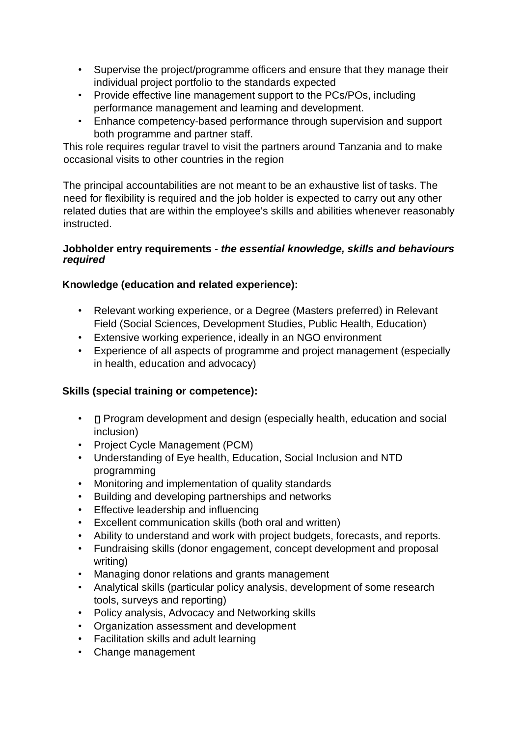- Supervise the project/programme officers and ensure that they manage their individual project portfolio to the standards expected
- Provide effective line management support to the PCs/POs, including performance management and learning and development.
- Enhance competency-based performance through supervision and support both programme and partner staff.

This role requires regular travel to visit the partners around Tanzania and to make occasional visits to other countries in the region

The principal accountabilities are not meant to be an exhaustive list of tasks. The need for flexibility is required and the job holder is expected to carry out any other related duties that are within the employee's skills and abilities whenever reasonably instructed.

#### **Jobholder entry requirements -** *the essential knowledge, skills and behaviours required*

#### **Knowledge (education and related experience):**

- Relevant working experience, or a Degree (Masters preferred) in Relevant Field (Social Sciences, Development Studies, Public Health, Education)
- Extensive working experience, ideally in an NGO environment
- Experience of all aspects of programme and project management (especially in health, education and advocacy)

#### **Skills (special training or competence):**

- $\Box$  Program development and design (especially health, education and social inclusion)
- Project Cycle Management (PCM)
- Understanding of Eye health, Education, Social Inclusion and NTD programming
- Monitoring and implementation of quality standards
- Building and developing partnerships and networks
- Effective leadership and influencing
- Excellent communication skills (both oral and written)
- Ability to understand and work with project budgets, forecasts, and reports.
- Fundraising skills (donor engagement, concept development and proposal writing)
- Managing donor relations and grants management
- Analytical skills (particular policy analysis, development of some research tools, surveys and reporting)
- Policy analysis, Advocacy and Networking skills
- Organization assessment and development
- Facilitation skills and adult learning
- Change management